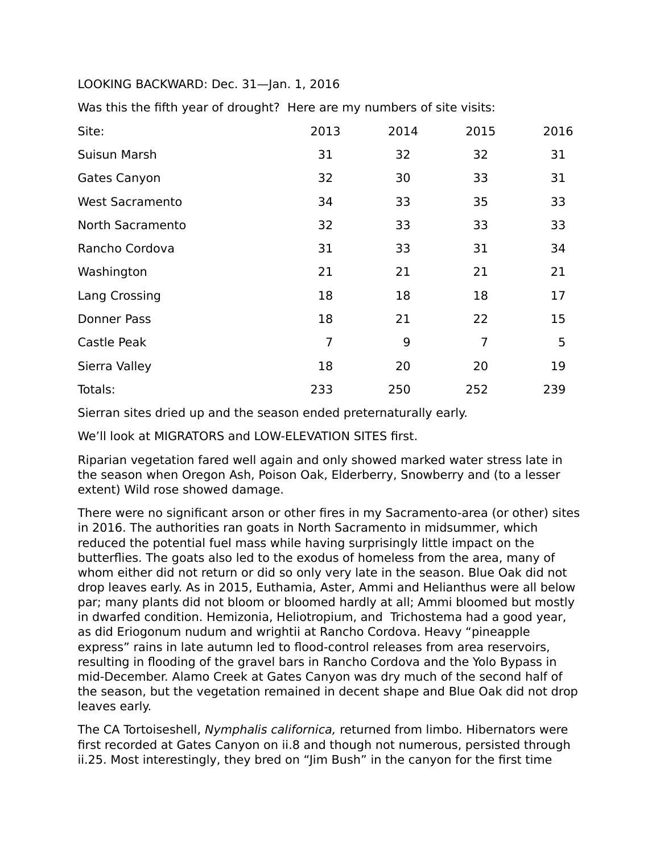## LOOKING BACKWARD: Dec. 31—Jan. 1, 2016

Was this the fifth year of drought? Here are my numbers of site visits:

| Site:                  | 2013           | 2014 | 2015           | 2016 |
|------------------------|----------------|------|----------------|------|
| Suisun Marsh           | 31             | 32   | 32             | 31   |
| Gates Canyon           | 32             | 30   | 33             | 31   |
| <b>West Sacramento</b> | 34             | 33   | 35             | 33   |
| North Sacramento       | 32             | 33   | 33             | 33   |
| Rancho Cordova         | 31             | 33   | 31             | 34   |
| Washington             | 21             | 21   | 21             | 21   |
| Lang Crossing          | 18             | 18   | 18             | 17   |
| Donner Pass            | 18             | 21   | 22             | 15   |
| Castle Peak            | $\overline{7}$ | 9    | $\overline{7}$ | 5    |
| Sierra Valley          | 18             | 20   | 20             | 19   |
| Totals:                | 233            | 250  | 252            | 239  |

Sierran sites dried up and the season ended preternaturally early.

We'll look at MIGRATORS and LOW-ELEVATION SITES first.

Riparian vegetation fared well again and only showed marked water stress late in the season when Oregon Ash, Poison Oak, Elderberry, Snowberry and (to a lesser extent) Wild rose showed damage.

There were no significant arson or other fires in my Sacramento-area (or other) sites in 2016. The authorities ran goats in North Sacramento in midsummer, which reduced the potential fuel mass while having surprisingly little impact on the butterflies. The goats also led to the exodus of homeless from the area, many of whom either did not return or did so only very late in the season. Blue Oak did not drop leaves early. As in 2015, Euthamia, Aster, Ammi and Helianthus were all below par; many plants did not bloom or bloomed hardly at all; Ammi bloomed but mostly in dwarfed condition. Hemizonia, Heliotropium, and Trichostema had a good year, as did Eriogonum nudum and wrightii at Rancho Cordova. Heavy "pineapple express" rains in late autumn led to flood-control releases from area reservoirs, resulting in flooding of the gravel bars in Rancho Cordova and the Yolo Bypass in mid-December. Alamo Creek at Gates Canyon was dry much of the second half of the season, but the vegetation remained in decent shape and Blue Oak did not drop leaves early.

The CA Tortoiseshell, Nymphalis californica, returned from limbo. Hibernators were first recorded at Gates Canyon on ii.8 and though not numerous, persisted through ii.25. Most interestingly, they bred on "Jim Bush" in the canyon for the first time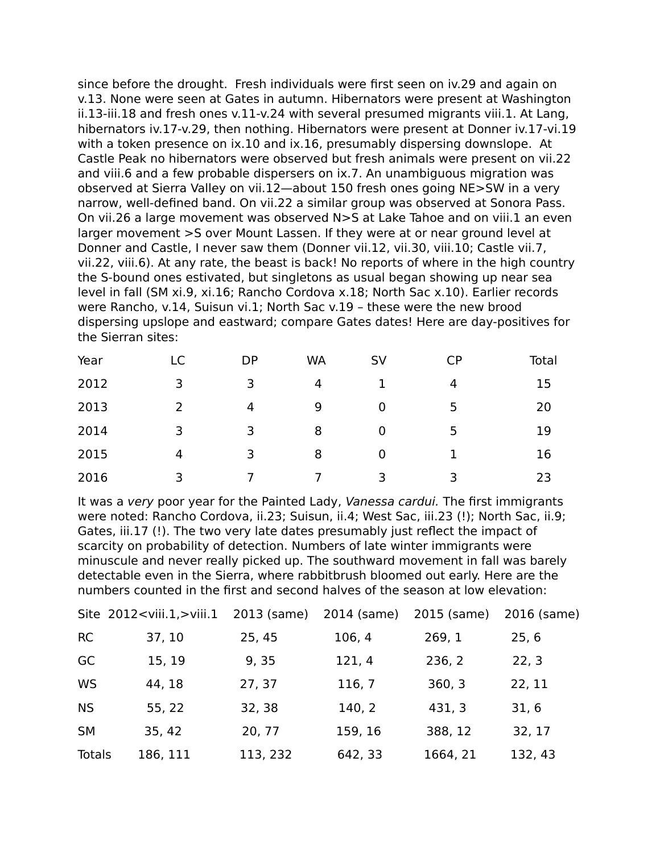since before the drought. Fresh individuals were first seen on iv.29 and again on v.13. None were seen at Gates in autumn. Hibernators were present at Washington ii.13-iii.18 and fresh ones v.11-v.24 with several presumed migrants viii.1. At Lang, hibernators iv.17-v.29, then nothing. Hibernators were present at Donner iv.17-vi.19 with a token presence on ix.10 and ix.16, presumably dispersing downslope. At Castle Peak no hibernators were observed but fresh animals were present on vii.22 and viii.6 and a few probable dispersers on ix.7. An unambiguous migration was observed at Sierra Valley on vii.12—about 150 fresh ones going NE>SW in a very narrow, well-defined band. On vii.22 a similar group was observed at Sonora Pass. On vii.26 a large movement was observed N>S at Lake Tahoe and on viii.1 an even larger movement >S over Mount Lassen. If they were at or near ground level at Donner and Castle, I never saw them (Donner vii.12, vii.30, viii.10; Castle vii.7, vii.22, viii.6). At any rate, the beast is back! No reports of where in the high country the S-bound ones estivated, but singletons as usual began showing up near sea level in fall (SM xi.9, xi.16; Rancho Cordova x.18; North Sac x.10). Earlier records were Rancho, v.14, Suisun vi.1; North Sac v.19 – these were the new brood dispersing upslope and eastward; compare Gates dates! Here are day-positives for the Sierran sites:

| Year | LC | <b>DP</b> | <b>WA</b> | SV | <b>CP</b> | <b>Total</b> |
|------|----|-----------|-----------|----|-----------|--------------|
| 2012 | 3  | 3         | 4         |    | 4         | 15           |
| 2013 | 2  | 4         | 9         | 0  | 5         | 20           |
| 2014 | 3  | 3         | 8         | 0  | 5         | 19           |
| 2015 | 4  | 3         | 8         | 0  |           | 16           |
| 2016 | 3  |           |           | 3  | 3         | 23           |

It was a very poor year for the Painted Lady, Vanessa cardui. The first immigrants were noted: Rancho Cordova, ii.23; Suisun, ii.4; West Sac, iii.23 (!); North Sac, ii.9; Gates, iii.17 (!). The two very late dates presumably just reflect the impact of scarcity on probability of detection. Numbers of late winter immigrants were minuscule and never really picked up. The southward movement in fall was barely detectable even in the Sierra, where rabbitbrush bloomed out early. Here are the numbers counted in the first and second halves of the season at low elevation:

|           | Site 2012 <viii.1,>viii.1</viii.1,> | 2013 (same) | 2014 (same) | 2015 (same) | 2016 (same) |
|-----------|-------------------------------------|-------------|-------------|-------------|-------------|
| <b>RC</b> | 37, 10                              | 25, 45      | 106, 4      | 269, 1      | 25, 6       |
| GC        | 15, 19                              | 9, 35       | 121, 4      | 236, 2      | 22, 3       |
| WS        | 44, 18                              | 27, 37      | 116, 7      | 360, 3      | 22, 11      |
| <b>NS</b> | 55, 22                              | 32, 38      | 140, 2      | 431, 3      | 31, 6       |
| <b>SM</b> | 35, 42                              | 20, 77      | 159, 16     | 388, 12     | 32, 17      |
| Totals    | 186, 111                            | 113, 232    | 642, 33     | 1664, 21    | 132, 43     |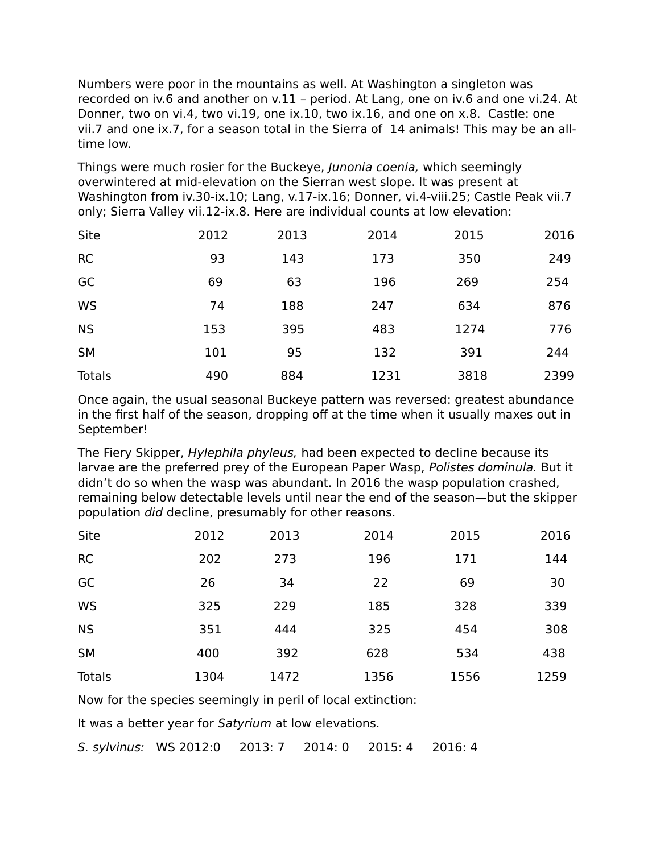Numbers were poor in the mountains as well. At Washington a singleton was recorded on iv.6 and another on v.11 – period. At Lang, one on iv.6 and one vi.24. At Donner, two on vi.4, two vi.19, one ix.10, two ix.16, and one on x.8. Castle: one vii.7 and one ix.7, for a season total in the Sierra of 14 animals! This may be an alltime low.

Things were much rosier for the Buckeye, *Junonia coenia*, which seemingly overwintered at mid-elevation on the Sierran west slope. It was present at Washington from iv.30-ix.10; Lang, v.17-ix.16; Donner, vi.4-viii.25; Castle Peak vii.7 only; Sierra Valley vii.12-ix.8. Here are individual counts at low elevation:

| Site          | 2012 | 2013 | 2014 | 2015 | 2016 |
|---------------|------|------|------|------|------|
| <b>RC</b>     | 93   | 143  | 173  | 350  | 249  |
| GC            | 69   | 63   | 196  | 269  | 254  |
| <b>WS</b>     | 74   | 188  | 247  | 634  | 876  |
| <b>NS</b>     | 153  | 395  | 483  | 1274 | 776  |
| <b>SM</b>     | 101  | 95   | 132  | 391  | 244  |
| <b>Totals</b> | 490  | 884  | 1231 | 3818 | 2399 |

Once again, the usual seasonal Buckeye pattern was reversed: greatest abundance in the first half of the season, dropping off at the time when it usually maxes out in September!

The Fiery Skipper, *Hylephila phyleus*, had been expected to decline because its larvae are the preferred prey of the European Paper Wasp, Polistes dominula. But it didn't do so when the wasp was abundant. In 2016 the wasp population crashed, remaining below detectable levels until near the end of the season—but the skipper population did decline, presumably for other reasons.

| Site      | 2012 | 2013 | 2014 | 2015 | 2016 |
|-----------|------|------|------|------|------|
| <b>RC</b> | 202  | 273  | 196  | 171  | 144  |
| GC        | 26   | 34   | 22   | 69   | 30   |
| <b>WS</b> | 325  | 229  | 185  | 328  | 339  |
| <b>NS</b> | 351  | 444  | 325  | 454  | 308  |
| <b>SM</b> | 400  | 392  | 628  | 534  | 438  |
| Totals    | 1304 | 1472 | 1356 | 1556 | 1259 |

Now for the species seemingly in peril of local extinction:

It was a better year for Satyrium at low elevations.

S. sylvinus: WS 2012:0 2013: 7 2014: 0 2015: 4 2016: 4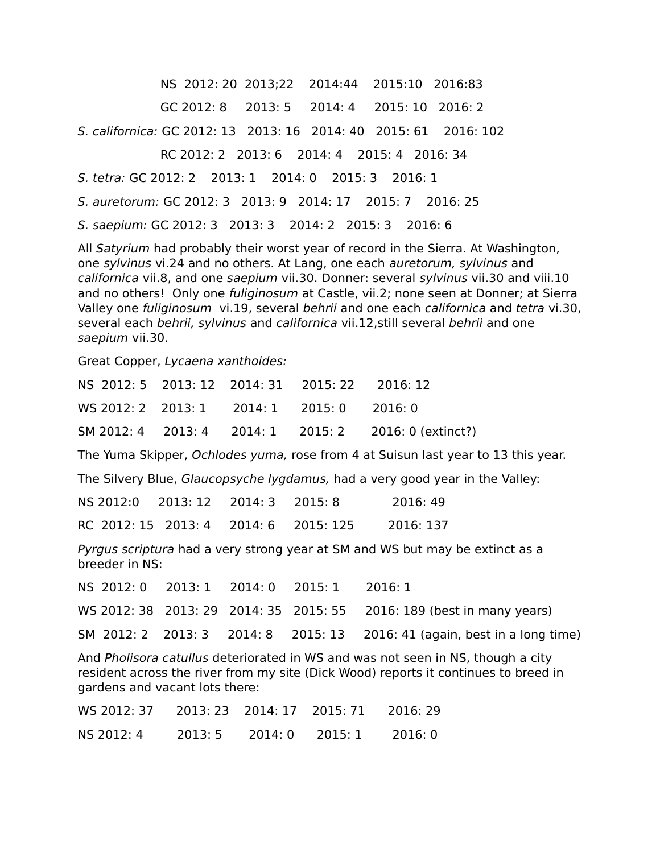NS 2012: 20 2013;22 2014:44 2015:10 2016:83

GC 2012: 8 2013: 5 2014: 4 2015: 10 2016: 2

S. californica: GC 2012: 13 2013: 16 2014: 40 2015: 61 2016: 102

RC 2012: 2 2013: 6 2014: 4 2015: 4 2016: 34

S. tetra: GC 2012: 2 2013: 1 2014: 0 2015: 3 2016: 1

S. auretorum: GC 2012: 3 2013: 9 2014: 17 2015: 7 2016: 25

S. saepium: GC 2012: 3 2013: 3 2014: 2 2015: 3 2016: 6

All Satyrium had probably their worst year of record in the Sierra. At Washington, one sylvinus vi.24 and no others. At Lang, one each auretorum, sylvinus and californica vii.8, and one saepium vii.30. Donner: several sylvinus vii.30 and viii.10 and no others! Only one fuliginosum at Castle, vii.2; none seen at Donner; at Sierra Valley one fuliginosum vi.19, several behrii and one each californica and tetra vi.30, several each behrii, sylvinus and californica vii.12, still several behrii and one saepium vii.30.

Great Copper, Lycaena xanthoides:

| NS 2012: 5 2013: 12 2014: 31 2015: 22 2016: 12 |  |                                                       |
|------------------------------------------------|--|-------------------------------------------------------|
| WS 2012: 2 2013: 1 2014: 1 2015: 0 2016: 0     |  |                                                       |
|                                                |  | SM 2012: 4 2013: 4 2014: 1 2015: 2 2016: 0 (extinct?) |

The Yuma Skipper, Ochlodes yuma, rose from 4 at Suisun last year to 13 this year.

The Silvery Blue, Glaucopsyche lygdamus, had a very good year in the Valley:

| NS 2012:0 2013: 12 2014: 3 2015: 8    |  | 2016: 49  |
|---------------------------------------|--|-----------|
| RC 2012: 15 2013: 4 2014: 6 2015: 125 |  | 2016: 137 |

Pyrgus scriptura had a very strong year at SM and WS but may be extinct as a breeder in NS:

|  |  | NS 2012: 0 2013: 1 2014: 0 2015: 1 2016: 1 |                                                                           |
|--|--|--------------------------------------------|---------------------------------------------------------------------------|
|  |  |                                            | WS 2012: 38 2013: 29 2014: 35 2015: 55 2016: 189 (best in many years)     |
|  |  |                                            | SM 2012: 2 2013: 3 2014: 8 2015: 13 2016: 41 (again, best in a long time) |

And Pholisora catullus deteriorated in WS and was not seen in NS, though a city resident across the river from my site (Dick Wood) reports it continues to breed in gardens and vacant lots there:

| NS 2012: 4 2013: 5 2014: 0 2015: 1 2016: 0 |  |  |
|--------------------------------------------|--|--|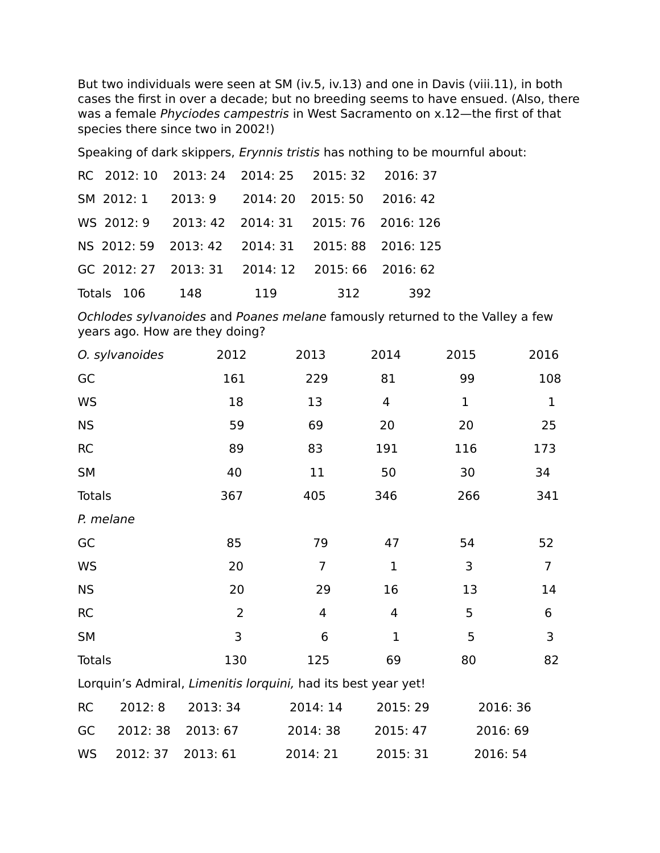But two individuals were seen at SM (iv.5, iv.13) and one in Davis (viii.11), in both cases the first in over a decade; but no breeding seems to have ensued. (Also, there was a female Phyciodes campestris in West Sacramento on x.12—the first of that species there since two in 2002!)

Speaking of dark skippers, Erynnis tristis has nothing to be mournful about:

| RC 2012: 10 2013: 24 2014: 25 2015: 32 2016: 37  |     |     |     |     |
|--------------------------------------------------|-----|-----|-----|-----|
| SM 2012: 1 2013: 9 2014: 20 2015: 50 2016: 42    |     |     |     |     |
| WS 2012: 9 2013: 42 2014: 31 2015: 76 2016: 126  |     |     |     |     |
| NS 2012: 59 2013: 42 2014: 31 2015: 88 2016: 125 |     |     |     |     |
| GC 2012: 27 2013: 31 2014: 12 2015: 66 2016: 62  |     |     |     |     |
| Totals 106                                       | 148 | 119 | 312 | 392 |

Ochlodes sylvanoides and Poanes melane famously returned to the Valley a few years ago. How are they doing?

|               | O. sylvanoides | 2012           | 2013                                                          | 2014           | 2015        | 2016           |
|---------------|----------------|----------------|---------------------------------------------------------------|----------------|-------------|----------------|
| GC            |                | 161            | 229                                                           | 81             | 99          | 108            |
| WS            |                | 18             | 13                                                            | $\overline{4}$ | $\mathbf 1$ | $\mathbf 1$    |
| <b>NS</b>     |                | 59             | 69                                                            | 20             | 20          | 25             |
| <b>RC</b>     |                | 89             | 83                                                            | 191            | 116         | 173            |
| <b>SM</b>     |                | 40             | 11                                                            | 50             | 30          | 34             |
| <b>Totals</b> |                | 367            | 405                                                           | 346            | 266         | 341            |
| P. melane     |                |                |                                                               |                |             |                |
| GC            |                | 85             | 79                                                            | 47             | 54          | 52             |
| <b>WS</b>     |                | 20             | $\overline{7}$                                                | $\mathbf{1}$   | 3           | $\overline{7}$ |
| <b>NS</b>     |                | 20             | 29                                                            | 16             | 13          | 14             |
| <b>RC</b>     |                | $\overline{2}$ | 4                                                             | 4              | 5           | 6              |
| <b>SM</b>     |                | 3              | 6                                                             | $\mathbf 1$    | 5           | 3              |
| <b>Totals</b> |                | 130            | 125                                                           | 69             | 80          | 82             |
|               |                |                | Lorquin's Admiral, Limenitis lorquini, had its best year yet! |                |             |                |
| <b>RC</b>     | 2012: 8        | 2013: 34       | 2014: 14                                                      | 2015:29        |             | 2016: 36       |
| GC            | 2012: 38       | 2013: 67       | 2014:38                                                       | 2015: 47       |             | 2016: 69       |
| WS            | 2012: 37       | 2013: 61       | 2014: 21                                                      | 2015: 31       | 2016: 54    |                |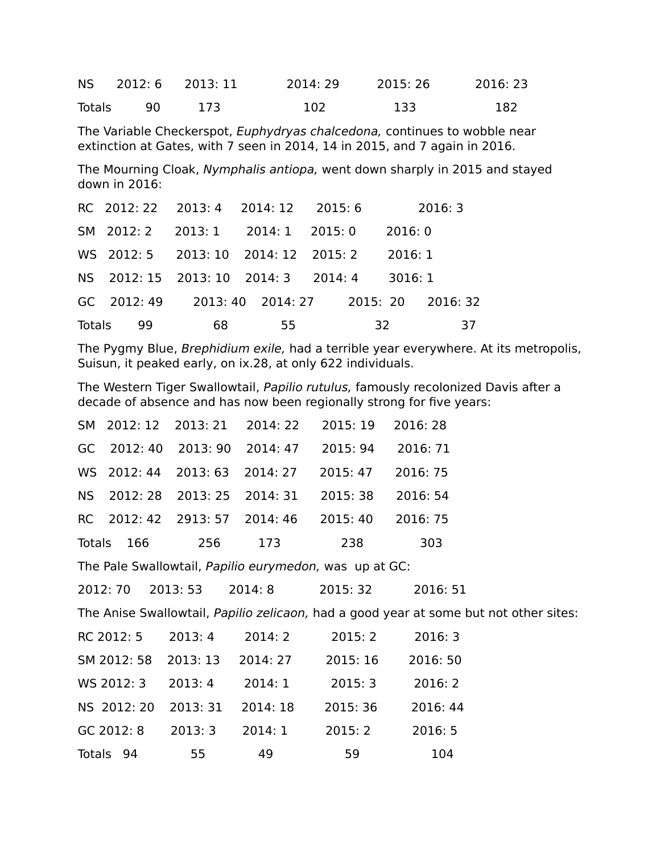NS 2012: 6 2013: 11 2014: 29 2015: 26 2016: 23 Totals 90 173 102 133 182 The Variable Checkerspot, Euphydryas chalcedona, continues to wobble near extinction at Gates, with 7 seen in 2014, 14 in 2015, and 7 again in 2016. The Mourning Cloak, Nymphalis antiopa, went down sharply in 2015 and stayed down in 2016: RC 2012: 22 2013: 4 2014: 12 2015: 6 2016: 3 SM 2012: 2 2013: 1 2014: 1 2015: 0 2016: 0 WS 2012: 5 2013: 10 2014: 12 2015: 2 2016: 1 NS 2012: 15 2013: 10 2014: 3 2014: 4 3016: 1 GC 2012: 49 2013: 40 2014: 27 2015: 20 2016: 32

The Pygmy Blue, Brephidium exile, had a terrible year everywhere. At its metropolis, Suisun, it peaked early, on ix.28, at only 622 individuals.

The Western Tiger Swallowtail, Papilio rutulus, famously recolonized Davis after a decade of absence and has now been regionally strong for five years:

|            |     | SM 2012: 12 2013: 21 2014: 22 2015: 19 2016: 28 |          |
|------------|-----|-------------------------------------------------|----------|
|            |     | GC 2012: 40 2013: 90 2014: 47 2015: 94 2016: 71 |          |
|            |     | WS 2012: 44 2013: 63 2014: 27 2015: 47 2016: 75 |          |
|            |     | NS 2012: 28 2013: 25 2014: 31 2015: 38          | 2016: 54 |
|            |     | RC 2012: 42 2913: 57 2014: 46 2015: 40          | 2016: 75 |
| Totals 166 | 256 | 173 238                                         | 303      |

Totals 99 68 55 32 37

The Pale Swallowtail, Papilio eurymedon, was up at GC:

2012: 70 2013: 53 2014: 8 2015: 32 2016: 51

The Anise Swallowtail, Papilio zelicaon, had a good year at some but not other sites:

| RC 2012: 5          | 2013:4   | 2014:2   | 2015:2   | 2016:3   |
|---------------------|----------|----------|----------|----------|
| SM 2012: 58         | 2013: 13 | 2014: 27 | 2015: 16 | 2016: 50 |
| WS 2012: 3          | 2013:4   | 2014:1   | 2015:3   | 2016: 2  |
| NS 2012: 20         | 2013: 31 | 2014: 18 | 2015: 36 | 2016: 44 |
| GC 2012: 8          | 2013:3   | 2014:1   | 2015:2   | 2016:5   |
| <b>Totals</b><br>94 | 55       | 49       | 59       | 104      |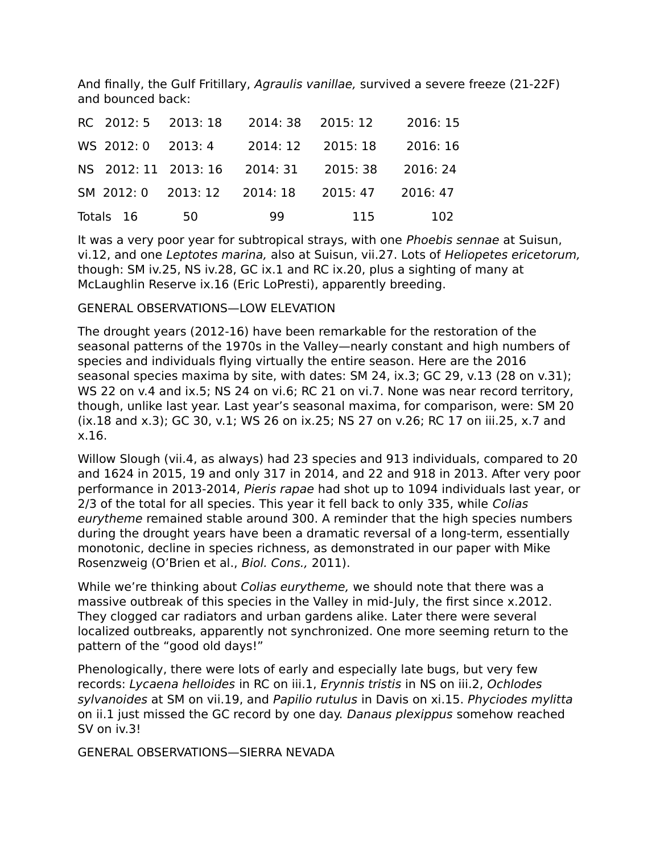And finally, the Gulf Fritillary, Agraulis vanillae, survived a severe freeze (21-22F) and bounced back:

|                    | RC 2012: 5 2013: 18       | 2014: 38 2015: 12 |                   | 2016: 15 |
|--------------------|---------------------------|-------------------|-------------------|----------|
| WS 2012: 0 2013: 4 |                           |                   | 2014: 12 2015: 18 | 2016: 16 |
|                    | NS 2012: 11 2013: 16      | 2014: 31          | 2015: 38          | 2016: 24 |
|                    | SM 2012:0 2013:12 2014:18 |                   | 2015: 47          | 2016: 47 |
| Totals 16          | 50                        | 99                | 115               | 102      |

It was a very poor year for subtropical strays, with one Phoebis sennae at Suisun, vi.12, and one Leptotes marina, also at Suisun, vii.27. Lots of Heliopetes ericetorum, though: SM iv.25, NS iv.28, GC ix.1 and RC ix.20, plus a sighting of many at McLaughlin Reserve ix.16 (Eric LoPresti), apparently breeding.

## GENERAL OBSERVATIONS—LOW ELEVATION

The drought years (2012-16) have been remarkable for the restoration of the seasonal patterns of the 1970s in the Valley—nearly constant and high numbers of species and individuals flying virtually the entire season. Here are the 2016 seasonal species maxima by site, with dates: SM 24, ix.3; GC 29, v.13 (28 on v.31); WS 22 on v.4 and ix.5; NS 24 on vi.6; RC 21 on vi.7. None was near record territory, though, unlike last year. Last year's seasonal maxima, for comparison, were: SM 20 (ix.18 and x.3); GC 30, v.1; WS 26 on ix.25; NS 27 on v.26; RC 17 on iii.25, x.7 and x.16.

Willow Slough (vii.4, as always) had 23 species and 913 individuals, compared to 20 and 1624 in 2015, 19 and only 317 in 2014, and 22 and 918 in 2013. After very poor performance in 2013-2014, Pieris rapae had shot up to 1094 individuals last year, or 2/3 of the total for all species. This year it fell back to only 335, while Colias eurytheme remained stable around 300. A reminder that the high species numbers during the drought years have been a dramatic reversal of a long-term, essentially monotonic, decline in species richness, as demonstrated in our paper with Mike Rosenzweig (O'Brien et al., Biol. Cons., 2011).

While we're thinking about Colias eurytheme, we should note that there was a massive outbreak of this species in the Valley in mid-July, the first since x.2012. They clogged car radiators and urban gardens alike. Later there were several localized outbreaks, apparently not synchronized. One more seeming return to the pattern of the "good old days!"

Phenologically, there were lots of early and especially late bugs, but very few records: Lycaena helloides in RC on iii.1, Erynnis tristis in NS on iii.2, Ochlodes sylvanoides at SM on vii.19, and Papilio rutulus in Davis on xi.15. Phyciodes mylitta on ii.1 just missed the GC record by one day. Danaus plexippus somehow reached SV on iv.3!

GENERAL OBSERVATIONS—SIERRA NEVADA